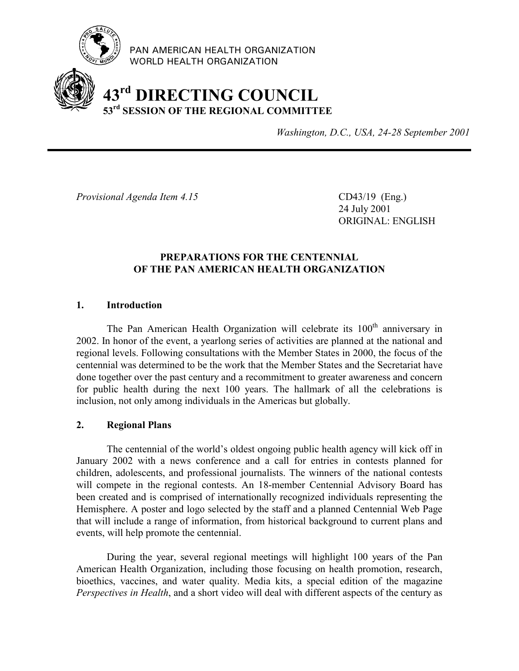

PAN AMERICAN HEALTH ORGANIZATION WORLD HEALTH ORGANIZATION

# **43rd DIRECTING COUNCIL 53rd SESSION OF THE REGIONAL COMMITTEE**

*Washington, D.C., USA, 24-28 September 2001*

*Provisional Agenda Item 4.15* CD43/19 (Eng.)

24 July 2001 ORIGINAL: ENGLISH

## **PREPARATIONS FOR THE CENTENNIAL OF THE PAN AMERICAN HEALTH ORGANIZATION**

## **1. Introduction**

The Pan American Health Organization will celebrate its  $100<sup>th</sup>$  anniversary in 2002. In honor of the event, a yearlong series of activities are planned at the national and regional levels. Following consultations with the Member States in 2000, the focus of the centennial was determined to be the work that the Member States and the Secretariat have done together over the past century and a recommitment to greater awareness and concern for public health during the next 100 years. The hallmark of all the celebrations is inclusion, not only among individuals in the Americas but globally.

### **2. Regional Plans**

The centennial of the world's oldest ongoing public health agency will kick off in January 2002 with a news conference and a call for entries in contests planned for children, adolescents, and professional journalists. The winners of the national contests will compete in the regional contests. An 18-member Centennial Advisory Board has been created and is comprised of internationally recognized individuals representing the Hemisphere. A poster and logo selected by the staff and a planned Centennial Web Page that will include a range of information, from historical background to current plans and events, will help promote the centennial.

During the year, several regional meetings will highlight 100 years of the Pan American Health Organization, including those focusing on health promotion, research, bioethics, vaccines, and water quality. Media kits, a special edition of the magazine *Perspectives in Health*, and a short video will deal with different aspects of the century as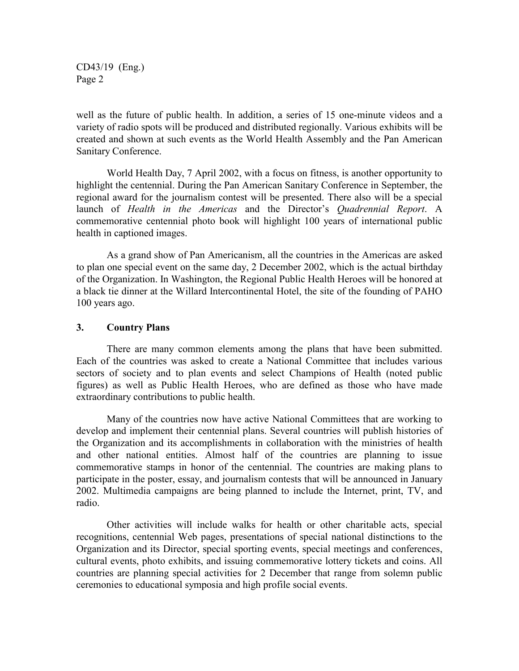CD43/19 (Eng.) Page 2

well as the future of public health. In addition, a series of 15 one-minute videos and a variety of radio spots will be produced and distributed regionally. Various exhibits will be created and shown at such events as the World Health Assembly and the Pan American Sanitary Conference.

World Health Day, 7 April 2002, with a focus on fitness, is another opportunity to highlight the centennial. During the Pan American Sanitary Conference in September, the regional award for the journalism contest will be presented. There also will be a special launch of *Health in the Americas* and the Director's *Quadrennial Report*. A commemorative centennial photo book will highlight 100 years of international public health in captioned images.

As a grand show of Pan Americanism, all the countries in the Americas are asked to plan one special event on the same day, 2 December 2002, which is the actual birthday of the Organization. In Washington, the Regional Public Health Heroes will be honored at a black tie dinner at the Willard Intercontinental Hotel, the site of the founding of PAHO 100 years ago.

#### **3. Country Plans**

There are many common elements among the plans that have been submitted. Each of the countries was asked to create a National Committee that includes various sectors of society and to plan events and select Champions of Health (noted public figures) as well as Public Health Heroes, who are defined as those who have made extraordinary contributions to public health.

Many of the countries now have active National Committees that are working to develop and implement their centennial plans. Several countries will publish histories of the Organization and its accomplishments in collaboration with the ministries of health and other national entities. Almost half of the countries are planning to issue commemorative stamps in honor of the centennial. The countries are making plans to participate in the poster, essay, and journalism contests that will be announced in January 2002. Multimedia campaigns are being planned to include the Internet, print, TV, and radio.

Other activities will include walks for health or other charitable acts, special recognitions, centennial Web pages, presentations of special national distinctions to the Organization and its Director, special sporting events, special meetings and conferences, cultural events, photo exhibits, and issuing commemorative lottery tickets and coins. All countries are planning special activities for 2 December that range from solemn public ceremonies to educational symposia and high profile social events.